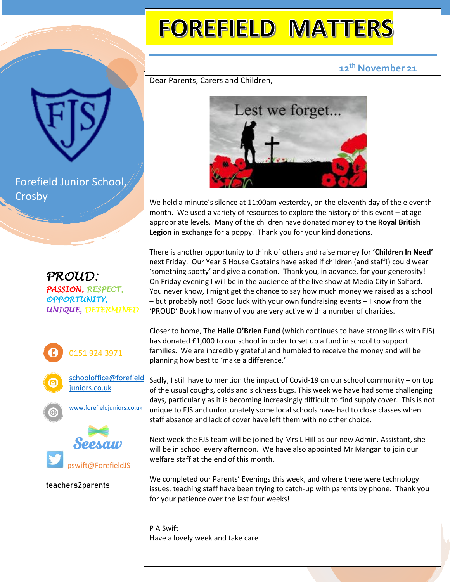## **FOREFIELD MATTERS**

## **12th November 21**

Dear Parents, Carers and Children,



We held a minute's silence at 11:00am yesterday, on the eleventh day of the eleventh month. We used a variety of resources to explore the history of this event – at age appropriate levels. Many of the children have donated money to the **Royal British Legion** in exchange for a poppy. Thank you for your kind donations.

There is another opportunity to think of others and raise money for **'Children In Need'** next Friday. Our Year 6 House Captains have asked if children (and staff!) could wear 'something spotty' and give a donation. Thank you, in advance, for your generosity! On Friday evening I will be in the audience of the live show at Media City in Salford. You never know, I might get the chance to say how much money we raised as a school – but probably not! Good luck with your own fundraising events – I know from the 'PROUD' Book how many of you are very active with a number of charities.

Closer to home, The **Halle O'Brien Fund** (which continues to have strong links with FJS) has donated £1,000 to our school in order to set up a fund in school to support families. We are incredibly grateful and humbled to receive the money and will be planning how best to 'make a difference.'

Sadly, I still have to mention the impact of Covid-19 on our school community – on top of the usual coughs, colds and sickness bugs. This week we have had some challenging days, particularly as it is becoming increasingly difficult to find supply cover. This is not unique to FJS and unfortunately some local schools have had to close classes when staff absence and lack of cover have left them with no other choice.

Next week the FJS team will be joined by Mrs L Hill as our new Admin. Assistant, she will be in school every afternoon. We have also appointed Mr Mangan to join our welfare staff at the end of this month.

We completed our Parents' Evenings this week, and where there were technology issues, teaching staff have been trying to catch-up with parents by phone. Thank you for your patience over the last four weeks!

P A Swift Have a lovely week and take care

Forefield Junior School, Crosby

*PROUD: PASSION, RESPECT, OPPORTUNITY, UNIQUE, DETERMINED*





pswift@ForefieldJS

**teachers2parents**